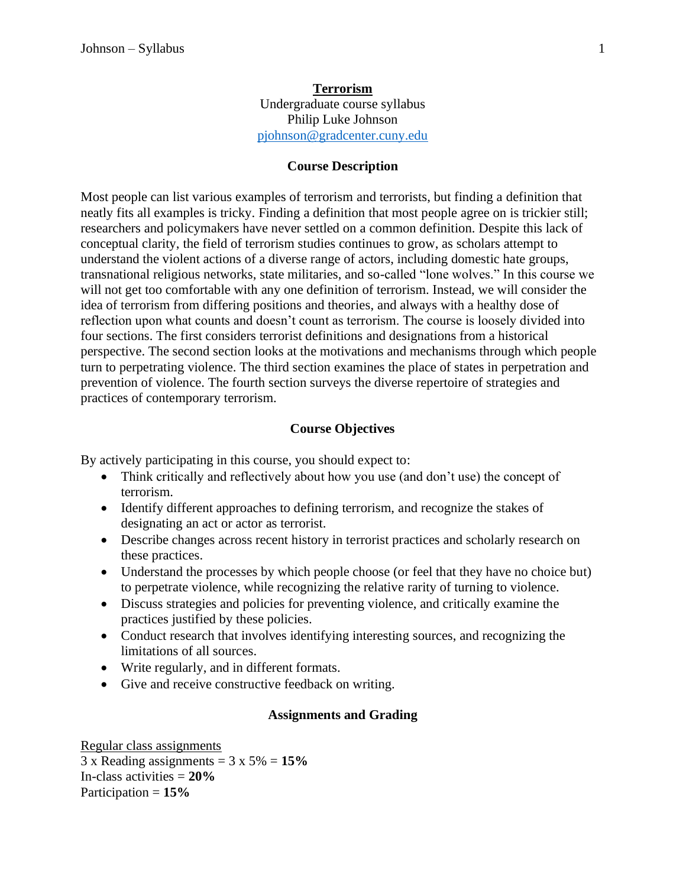## **Terrorism** Undergraduate course syllabus Philip Luke Johnson [pjohnson@gradcenter.cuny.edu](mailto:pjohnson@gradcenter.cuny.edu)

#### **Course Description**

Most people can list various examples of terrorism and terrorists, but finding a definition that neatly fits all examples is tricky. Finding a definition that most people agree on is trickier still; researchers and policymakers have never settled on a common definition. Despite this lack of conceptual clarity, the field of terrorism studies continues to grow, as scholars attempt to understand the violent actions of a diverse range of actors, including domestic hate groups, transnational religious networks, state militaries, and so-called "lone wolves." In this course we will not get too comfortable with any one definition of terrorism. Instead, we will consider the idea of terrorism from differing positions and theories, and always with a healthy dose of reflection upon what counts and doesn't count as terrorism. The course is loosely divided into four sections. The first considers terrorist definitions and designations from a historical perspective. The second section looks at the motivations and mechanisms through which people turn to perpetrating violence. The third section examines the place of states in perpetration and prevention of violence. The fourth section surveys the diverse repertoire of strategies and practices of contemporary terrorism.

#### **Course Objectives**

By actively participating in this course, you should expect to:

- Think critically and reflectively about how you use (and don't use) the concept of terrorism.
- Identify different approaches to defining terrorism, and recognize the stakes of designating an act or actor as terrorist.
- Describe changes across recent history in terrorist practices and scholarly research on these practices.
- Understand the processes by which people choose (or feel that they have no choice but) to perpetrate violence, while recognizing the relative rarity of turning to violence.
- Discuss strategies and policies for preventing violence, and critically examine the practices justified by these policies.
- Conduct research that involves identifying interesting sources, and recognizing the limitations of all sources.
- Write regularly, and in different formats.
- Give and receive constructive feedback on writing.

#### **Assignments and Grading**

Regular class assignments 3 x Reading assignments = 3 x 5% = **15%** In-class activities = **20%** Participation = **15%**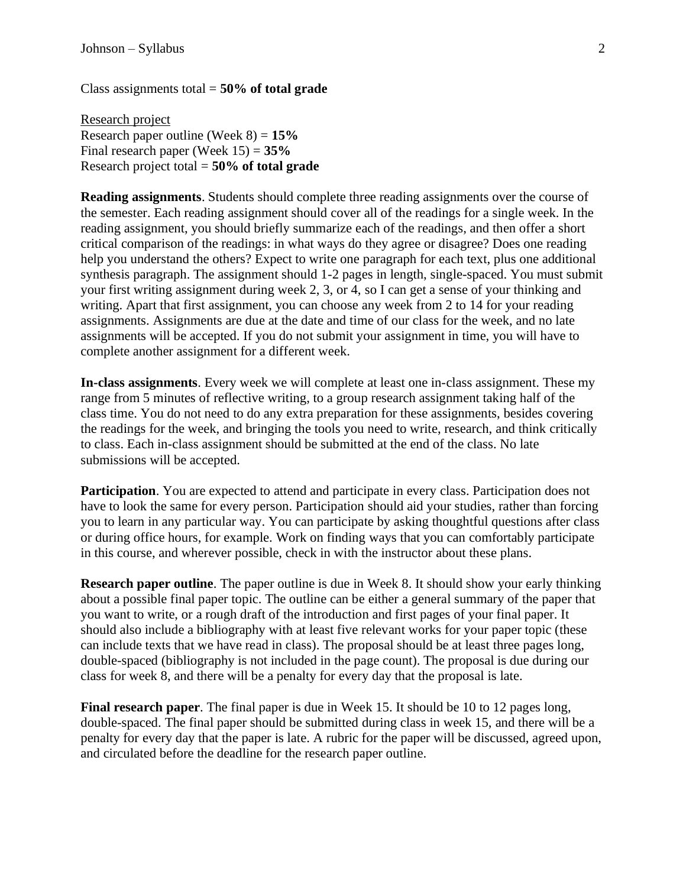Class assignments total = **50% of total grade**

Research project Research paper outline (Week 8) = **15%** Final research paper (Week 15) = **35%** Research project total = **50% of total grade**

**Reading assignments**. Students should complete three reading assignments over the course of the semester. Each reading assignment should cover all of the readings for a single week. In the reading assignment, you should briefly summarize each of the readings, and then offer a short critical comparison of the readings: in what ways do they agree or disagree? Does one reading help you understand the others? Expect to write one paragraph for each text, plus one additional synthesis paragraph. The assignment should 1-2 pages in length, single-spaced. You must submit your first writing assignment during week 2, 3, or 4, so I can get a sense of your thinking and writing. Apart that first assignment, you can choose any week from 2 to 14 for your reading assignments. Assignments are due at the date and time of our class for the week, and no late assignments will be accepted. If you do not submit your assignment in time, you will have to complete another assignment for a different week.

**In-class assignments**. Every week we will complete at least one in-class assignment. These my range from 5 minutes of reflective writing, to a group research assignment taking half of the class time. You do not need to do any extra preparation for these assignments, besides covering the readings for the week, and bringing the tools you need to write, research, and think critically to class. Each in-class assignment should be submitted at the end of the class. No late submissions will be accepted.

**Participation**. You are expected to attend and participate in every class. Participation does not have to look the same for every person. Participation should aid your studies, rather than forcing you to learn in any particular way. You can participate by asking thoughtful questions after class or during office hours, for example. Work on finding ways that you can comfortably participate in this course, and wherever possible, check in with the instructor about these plans.

**Research paper outline**. The paper outline is due in Week 8. It should show your early thinking about a possible final paper topic. The outline can be either a general summary of the paper that you want to write, or a rough draft of the introduction and first pages of your final paper. It should also include a bibliography with at least five relevant works for your paper topic (these can include texts that we have read in class). The proposal should be at least three pages long, double-spaced (bibliography is not included in the page count). The proposal is due during our class for week 8, and there will be a penalty for every day that the proposal is late.

**Final research paper**. The final paper is due in Week 15. It should be 10 to 12 pages long, double-spaced. The final paper should be submitted during class in week 15, and there will be a penalty for every day that the paper is late. A rubric for the paper will be discussed, agreed upon, and circulated before the deadline for the research paper outline.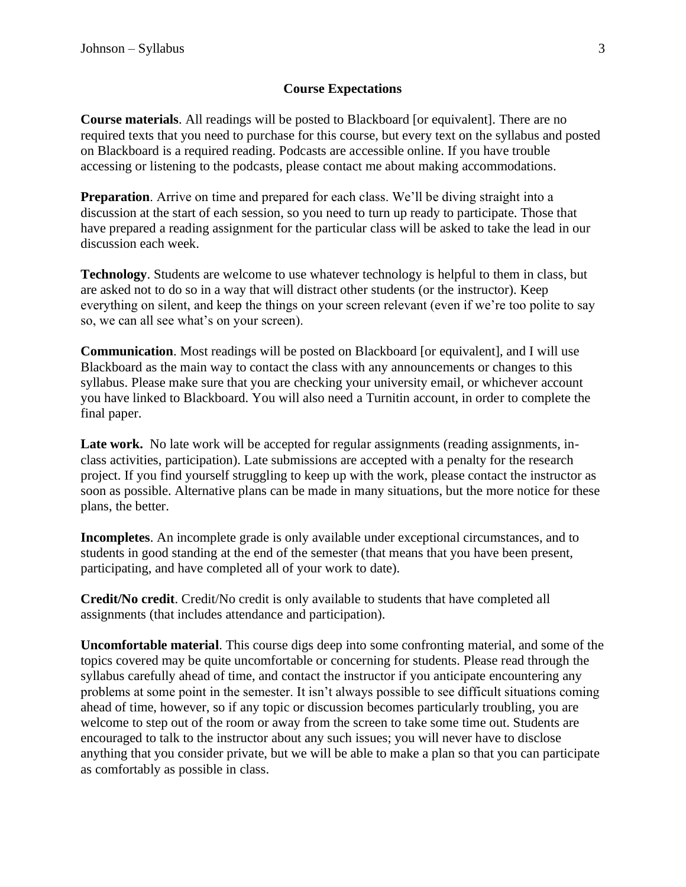### **Course Expectations**

**Course materials**. All readings will be posted to Blackboard [or equivalent]. There are no required texts that you need to purchase for this course, but every text on the syllabus and posted on Blackboard is a required reading. Podcasts are accessible online. If you have trouble accessing or listening to the podcasts, please contact me about making accommodations.

**Preparation**. Arrive on time and prepared for each class. We'll be diving straight into a discussion at the start of each session, so you need to turn up ready to participate. Those that have prepared a reading assignment for the particular class will be asked to take the lead in our discussion each week.

**Technology**. Students are welcome to use whatever technology is helpful to them in class, but are asked not to do so in a way that will distract other students (or the instructor). Keep everything on silent, and keep the things on your screen relevant (even if we're too polite to say so, we can all see what's on your screen).

**Communication**. Most readings will be posted on Blackboard [or equivalent], and I will use Blackboard as the main way to contact the class with any announcements or changes to this syllabus. Please make sure that you are checking your university email, or whichever account you have linked to Blackboard. You will also need a Turnitin account, in order to complete the final paper.

Late work. No late work will be accepted for regular assignments (reading assignments, inclass activities, participation). Late submissions are accepted with a penalty for the research project. If you find yourself struggling to keep up with the work, please contact the instructor as soon as possible. Alternative plans can be made in many situations, but the more notice for these plans, the better.

**Incompletes**. An incomplete grade is only available under exceptional circumstances, and to students in good standing at the end of the semester (that means that you have been present, participating, and have completed all of your work to date).

**Credit/No credit**. Credit/No credit is only available to students that have completed all assignments (that includes attendance and participation).

**Uncomfortable material**. This course digs deep into some confronting material, and some of the topics covered may be quite uncomfortable or concerning for students. Please read through the syllabus carefully ahead of time, and contact the instructor if you anticipate encountering any problems at some point in the semester. It isn't always possible to see difficult situations coming ahead of time, however, so if any topic or discussion becomes particularly troubling, you are welcome to step out of the room or away from the screen to take some time out. Students are encouraged to talk to the instructor about any such issues; you will never have to disclose anything that you consider private, but we will be able to make a plan so that you can participate as comfortably as possible in class.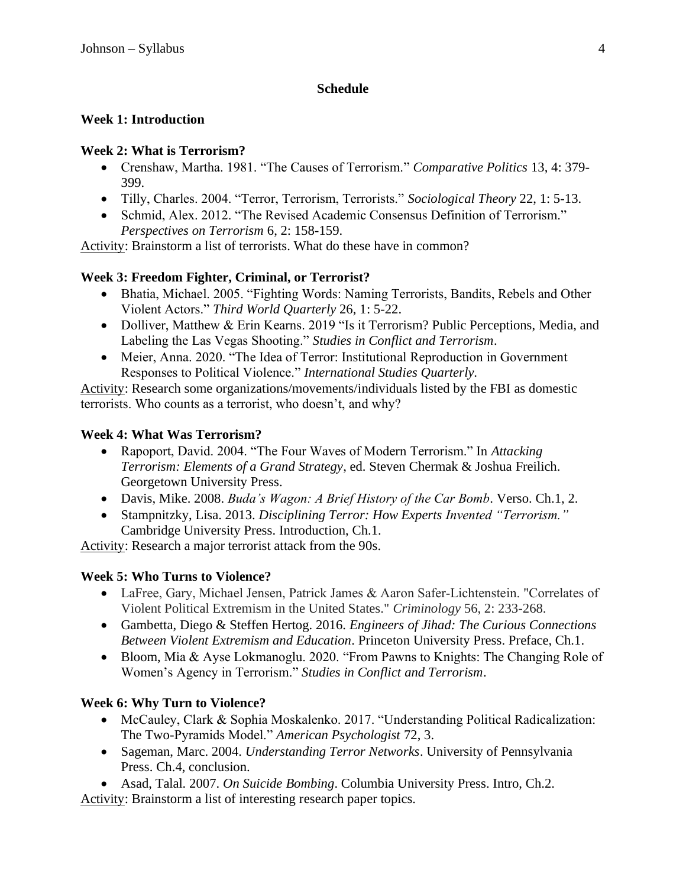## **Schedule**

# **Week 1: Introduction**

# **Week 2: What is Terrorism?**

- Crenshaw, Martha. 1981. "The Causes of Terrorism." *Comparative Politics* 13, 4: 379- 399.
- Tilly, Charles. 2004. "Terror, Terrorism, Terrorists." *Sociological Theory* 22, 1: 5-13.
- Schmid, Alex. 2012. "The Revised Academic Consensus Definition of Terrorism." *Perspectives on Terrorism* 6, 2: 158-159.

Activity: Brainstorm a list of terrorists. What do these have in common?

# **Week 3: Freedom Fighter, Criminal, or Terrorist?**

- Bhatia, Michael. 2005. "Fighting Words: Naming Terrorists, Bandits, Rebels and Other Violent Actors." *Third World Quarterly* 26, 1: 5-22.
- Dolliver, Matthew & Erin Kearns. 2019 "Is it Terrorism? Public Perceptions, Media, and Labeling the Las Vegas Shooting." *Studies in Conflict and Terrorism*.
- Meier, Anna. 2020. "The Idea of Terror: Institutional Reproduction in Government Responses to Political Violence." *International Studies Quarterly*.

Activity: Research some organizations/movements/individuals listed by the FBI as domestic terrorists. Who counts as a terrorist, who doesn't, and why?

# **Week 4: What Was Terrorism?**

- Rapoport, David. 2004. "The Four Waves of Modern Terrorism." In *Attacking Terrorism: Elements of a Grand Strategy*, ed. Steven Chermak & Joshua Freilich. Georgetown University Press.
- Davis, Mike. 2008. *Buda's Wagon: A Brief History of the Car Bomb*. Verso. Ch.1, 2.
- Stampnitzky, Lisa. 2013. *Disciplining Terror: How Experts Invented "Terrorism."* Cambridge University Press. Introduction, Ch.1.

Activity: Research a major terrorist attack from the 90s.

# **Week 5: Who Turns to Violence?**

- LaFree, Gary, Michael Jensen, Patrick James & Aaron Safer‐Lichtenstein. "Correlates of Violent Political Extremism in the United States." *Criminology* 56, 2: 233-268.
- Gambetta, Diego & Steffen Hertog. 2016. *Engineers of Jihad: The Curious Connections Between Violent Extremism and Education*. Princeton University Press. Preface, Ch.1.
- Bloom, Mia & Ayse Lokmanoglu. 2020. "From Pawns to Knights: The Changing Role of Women's Agency in Terrorism." *Studies in Conflict and Terrorism*.

# **Week 6: Why Turn to Violence?**

- McCauley, Clark & Sophia Moskalenko. 2017. "Understanding Political Radicalization: The Two-Pyramids Model." *American Psychologist* 72, 3.
- Sageman, Marc. 2004. *Understanding Terror Networks*. University of Pennsylvania Press. Ch.4, conclusion.
- Asad, Talal. 2007. *On Suicide Bombing*. Columbia University Press. Intro, Ch.2.

Activity: Brainstorm a list of interesting research paper topics.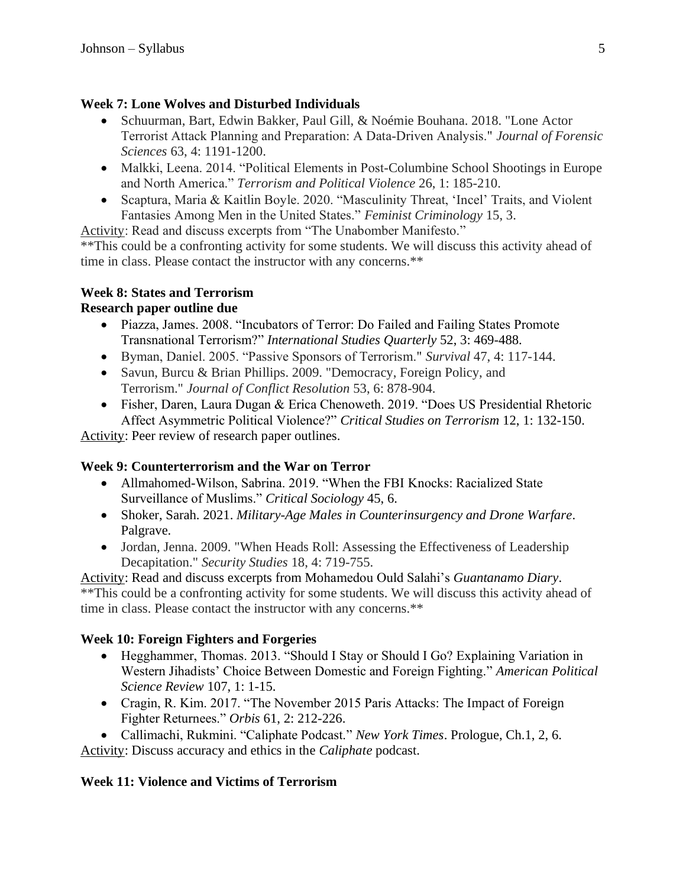## **Week 7: Lone Wolves and Disturbed Individuals**

- Schuurman, Bart, Edwin Bakker, Paul Gill, & Noémie Bouhana. 2018. "Lone Actor Terrorist Attack Planning and Preparation: A Data‐Driven Analysis." *Journal of Forensic Sciences* 63, 4: 1191-1200.
- Malkki, Leena. 2014. "Political Elements in Post-Columbine School Shootings in Europe and North America." *Terrorism and Political Violence* 26, 1: 185-210.
- Scaptura, Maria & Kaitlin Boyle. 2020. "Masculinity Threat, 'Incel' Traits, and Violent Fantasies Among Men in the United States." *Feminist Criminology* 15, 3.

Activity: Read and discuss excerpts from "The Unabomber Manifesto."

\*\*This could be a confronting activity for some students. We will discuss this activity ahead of time in class. Please contact the instructor with any concerns.\*\*

# **Week 8: States and Terrorism**

# **Research paper outline due**

- Piazza, James. 2008. "Incubators of Terror: Do Failed and Failing States Promote Transnational Terrorism?" *International Studies Quarterly* 52, 3: 469-488.
- Byman, Daniel. 2005. "Passive Sponsors of Terrorism." *Survival* 47, 4: 117-144.
- Savun, Burcu & Brian Phillips. 2009. "Democracy, Foreign Policy, and Terrorism." *Journal of Conflict Resolution* 53, 6: 878-904.
- Fisher, Daren, Laura Dugan & Erica Chenoweth. 2019. "Does US Presidential Rhetoric Affect Asymmetric Political Violence?" *Critical Studies on Terrorism* 12, 1: 132-150.

Activity: Peer review of research paper outlines.

# **Week 9: Counterterrorism and the War on Terror**

- Allmahomed-Wilson, Sabrina. 2019. "When the FBI Knocks: Racialized State Surveillance of Muslims." *Critical Sociology* 45, 6.
- Shoker, Sarah. 2021. *Military-Age Males in Counterinsurgency and Drone Warfare*. Palgrave.
- Jordan, Jenna. 2009. "When Heads Roll: Assessing the Effectiveness of Leadership Decapitation." *Security Studies* 18, 4: 719-755.

Activity: Read and discuss excerpts from Mohamedou Ould Salahi's *Guantanamo Diary*. \*\*This could be a confronting activity for some students. We will discuss this activity ahead of time in class. Please contact the instructor with any concerns.\*\*

# **Week 10: Foreign Fighters and Forgeries**

- Hegghammer, Thomas. 2013. "Should I Stay or Should I Go? Explaining Variation in Western Jihadists' Choice Between Domestic and Foreign Fighting." *American Political Science Review* 107, 1: 1-15.
- Cragin, R. Kim. 2017. "The November 2015 Paris Attacks: The Impact of Foreign Fighter Returnees." *Orbis* 61, 2: 212-226.
- Callimachi, Rukmini. "Caliphate Podcast." *New York Times*. Prologue, Ch.1, 2, 6. Activity: Discuss accuracy and ethics in the *Caliphate* podcast.

# **Week 11: Violence and Victims of Terrorism**